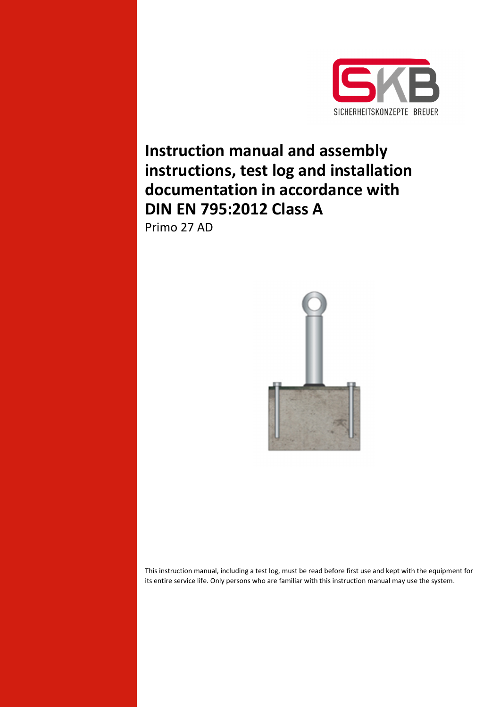

# **Instruction manual and assembly instructions, test log and installation documentation in accordance with DIN EN 795:2012 Class A**

Primo 27 AD



This instruction manual, including a test log, must be read before first use and kept with the equipment for its entire service life. Only persons who are familiar with this instruction manual may use the system.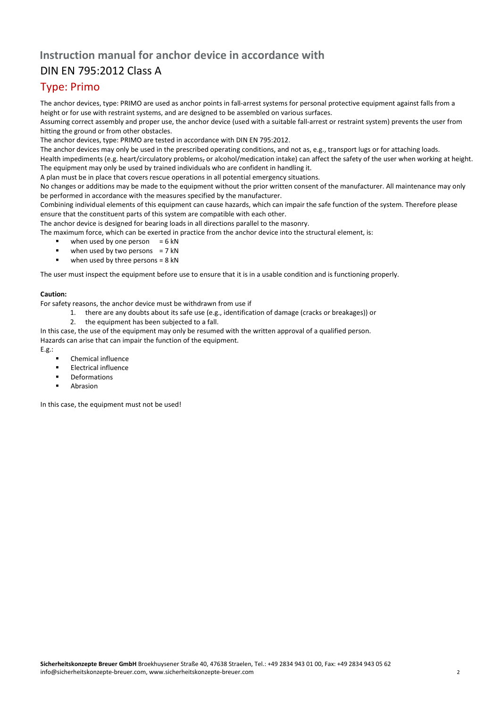## **Instruction manual for anchor device in accordance with**

## DIN EN 795:2012 Class A

## Type: Primo

The anchor devices, type: PRIMO are used as anchor points in fall-arrest systems for personal protective equipment against falls from a height or for use with restraint systems, and are designed to be assembled on various surfaces.

Assuming correct assembly and proper use, the anchor device (used with a suitable fall-arrest or restraint system) prevents the user from hitting the ground or from other obstacles.

The anchor devices, type: PRIMO are tested in accordance with DIN EN 795:2012.

The anchor devices may only be used in the prescribed operating conditions, and not as, e.g., transport lugs or for attaching loads.

Health impediments (e.g. heart/circulatory problems, or alcohol/medication intake) can affect the safety of the user when working at height. The equipment may only be used by trained individuals who are confident in handling it.

A plan must be in place that covers rescue operations in all potential emergency situations.

No changes or additions may be made to the equipment without the prior written consent of the manufacturer. All maintenance may only be performed in accordance with the measures specified by the manufacturer.

Combining individual elements of this equipment can cause hazards, which can impair the safe function of the system. Therefore please ensure that the constituent parts of this system are compatible with each other.

The anchor device is designed for bearing loads in all directions parallel to the masonry.

The maximum force, which can be exerted in practice from the anchor device into the structural element, is:

- when used by one person  $= 6$  kN
- when used by two persons  $= 7$  kN
- $\blacksquare$  when used by three persons = 8 kN

The user must inspect the equipment before use to ensure that it is in a usable condition and is functioning properly.

## **Caution:**

For safety reasons, the anchor device must be withdrawn from use if

- 1. there are any doubts about its safe use (e.g., identification of damage (cracks or breakages)) or
- 2. the equipment has been subjected to a fall.

In this case, the use of the equipment may only be resumed with the written approval of a qualified person. Hazards can arise that can impair the function of the equipment.

- E.g.:
	- Chemical influence
	- Electrical influence
	- Deformations
	- Abrasion

In this case, the equipment must not be used!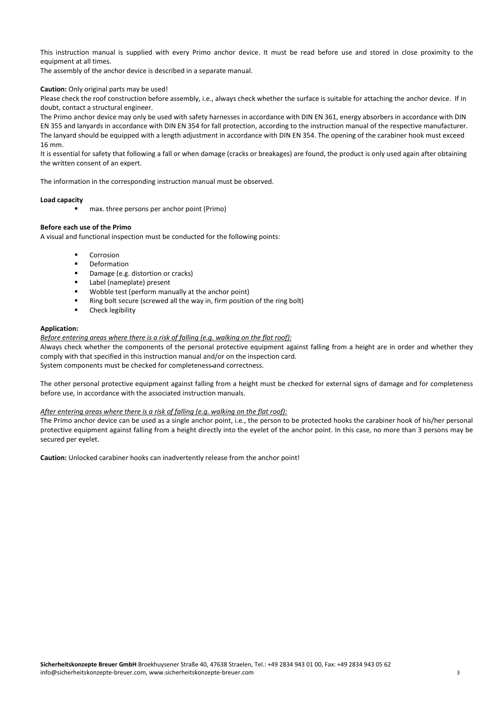This instruction manual is supplied with every Primo anchor device. It must be read before use and stored in close proximity to the equipment at all times.

The assembly of the anchor device is described in a separate manual.

## **Caution:** Only original parts may be used!

Please check the roof construction before assembly, i.e., always check whether the surface is suitable for attaching the anchor device. If in doubt, contact a structural engineer.

The Primo anchor device may only be used with safety harnesses in accordance with DIN EN 361, energy absorbers in accordance with DIN EN 355 and lanyards in accordance with DIN EN 354 for fall protection, according to the instruction manual of the respective manufacturer. The lanyard should be equipped with a length adjustment in accordance with DIN EN 354. The opening of the carabiner hook must exceed 16 mm.

It is essential for safety that following a fall or when damage (cracks or breakages) are found, the product is only used again after obtaining the written consent of an expert.

The information in the corresponding instruction manual must be observed.

#### **Load capacity**

max. three persons per anchor point (Primo)

## **Before each use of the Primo**

A visual and functional inspection must be conducted for the following points:

- Corrosion
- Deformation
- Damage (e.g. distortion or cracks)
- Label (nameplate) present
- Wobble test (perform manually at the anchor point)
- Ring bolt secure (screwed all the way in, firm position of the ring bolt)
- Check legibility

#### **Application:**

*Before entering areas where there is a risk of falling (e.g. walking on the flat roof):* 

Always check whether the components of the personal protective equipment against falling from a height are in order and whether they comply with that specified in this instruction manual and/or on the inspection card. System components must be checked for completeness and correctness.

The other personal protective equipment against falling from a height must be checked for external signs of damage and for completeness before use, in accordance with the associated instruction manuals.

#### *After entering areas where there is a risk of falling (e.g. walking on the flat roof):*

The Primo anchor device can be used as a single anchor point, i.e., the person to be protected hooks the carabiner hook of his/her personal protective equipment against falling from a height directly into the eyelet of the anchor point. In this case, no more than 3 persons may be secured per eyelet.

**Caution:** Unlocked carabiner hooks can inadvertently release from the anchor point!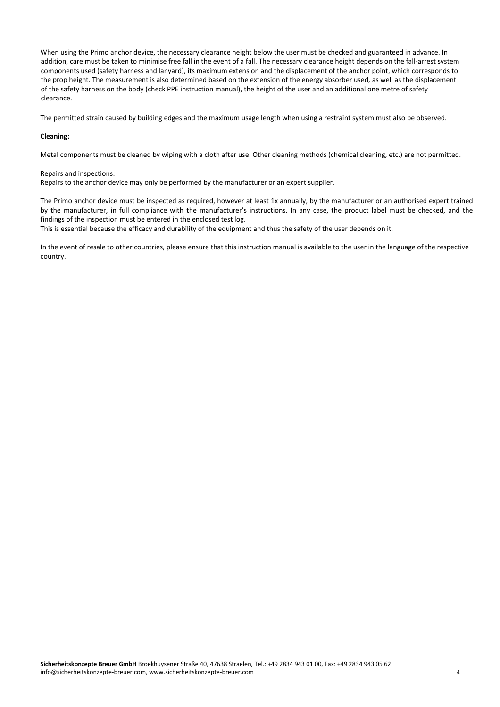When using the Primo anchor device, the necessary clearance height below the user must be checked and guaranteed in advance. In addition, care must be taken to minimise free fall in the event of a fall. The necessary clearance height depends on the fall-arrest system components used (safety harness and lanyard), its maximum extension and the displacement of the anchor point, which corresponds to the prop height. The measurement is also determined based on the extension of the energy absorber used, as well as the displacement of the safety harness on the body (check PPE instruction manual), the height of the user and an additional one metre of safety clearance.

The permitted strain caused by building edges and the maximum usage length when using a restraint system must also be observed.

## **Cleaning:**

Metal components must be cleaned by wiping with a cloth after use. Other cleaning methods (chemical cleaning, etc.) are not permitted.

#### Repairs and inspections:

Repairs to the anchor device may only be performed by the manufacturer or an expert supplier.

The Primo anchor device must be inspected as required, however at least 1x annually, by the manufacturer or an authorised expert trained by the manufacturer, in full compliance with the manufacturer's instructions. In any case, the product label must be checked, and the findings of the inspection must be entered in the enclosed test log.

This is essential because the efficacy and durability of the equipment and thus the safety of the user depends on it.

In the event of resale to other countries, please ensure that this instruction manual is available to the user in the language of the respective country.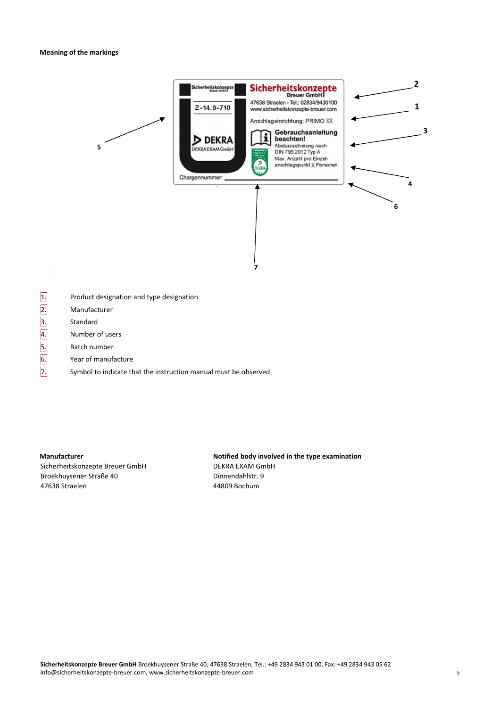

- $\boxed{1.}$  Product designation and type designation
- 2. Manufacturer
- 3. Standard
- 4. Number of users
- 5. Batch number
- 6. Year of manufacture
- $\overline{7}$ . Symbol to indicate that the instruction manual must be observed

Sicherheitskonzepte Breuer GmbH DEKRA EXAM GmbH Broekhuysener Straße 40 der anderen Broekhuysener Straße 40 47638 Straelen 44809 Bochum

## **Manufacturer Manufacturer Notified body involved in the type examination in the type examination**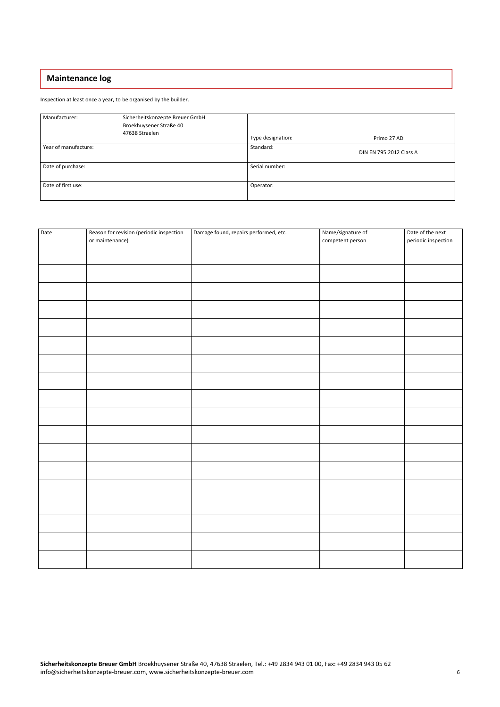## **Maintenance log**

Inspection at least once a year, to be organised by the builder.

| Manufacturer:        | Sicherheitskonzepte Breuer GmbH<br>Broekhuysener Straße 40<br>47638 Straelen | Type designation: | Primo 27 AD             |
|----------------------|------------------------------------------------------------------------------|-------------------|-------------------------|
| Year of manufacture: |                                                                              | Standard:         | DIN EN 795:2012 Class A |
| Date of purchase:    |                                                                              | Serial number:    |                         |
| Date of first use:   |                                                                              | Operator:         |                         |

| Date | Reason for revision (periodic inspection<br>or maintenance) | Damage found, repairs performed, etc. | Name/signature of<br>competent person | Date of the next<br>periodic inspection |
|------|-------------------------------------------------------------|---------------------------------------|---------------------------------------|-----------------------------------------|
|      |                                                             |                                       |                                       |                                         |
|      |                                                             |                                       |                                       |                                         |
|      |                                                             |                                       |                                       |                                         |
|      |                                                             |                                       |                                       |                                         |
|      |                                                             |                                       |                                       |                                         |
|      |                                                             |                                       |                                       |                                         |
|      |                                                             |                                       |                                       |                                         |
|      |                                                             |                                       |                                       |                                         |
|      |                                                             |                                       |                                       |                                         |
|      |                                                             |                                       |                                       |                                         |
|      |                                                             |                                       |                                       |                                         |
|      |                                                             |                                       |                                       |                                         |
|      |                                                             |                                       |                                       |                                         |
|      |                                                             |                                       |                                       |                                         |
|      |                                                             |                                       |                                       |                                         |
|      |                                                             |                                       |                                       |                                         |
|      |                                                             |                                       |                                       |                                         |
|      |                                                             |                                       |                                       |                                         |
|      |                                                             |                                       |                                       |                                         |
|      |                                                             |                                       |                                       |                                         |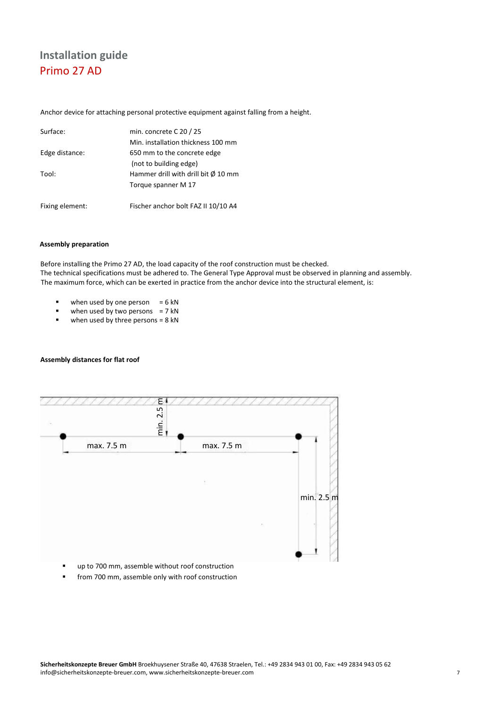## **Installation guide**  Primo 27 AD

Anchor device for attaching personal protective equipment against falling from a height.

| Surface:        | min. concrete C 20 / 25                       |
|-----------------|-----------------------------------------------|
|                 | Min. installation thickness 100 mm            |
| Edge distance:  | 650 mm to the concrete edge                   |
|                 | (not to building edge)                        |
| Tool:           | Hammer drill with drill bit $\emptyset$ 10 mm |
|                 | Torque spanner M 17                           |
| Fixing element: | Fischer anchor bolt FAZ II 10/10 A4           |

## **Assembly preparation**

Before installing the Primo 27 AD, the load capacity of the roof construction must be checked. The technical specifications must be adhered to. The General Type Approval must be observed in planning and assembly. The maximum force, which can be exerted in practice from the anchor device into the structural element, is:

- $\blacksquare$  when used by one person  $= 6 \text{ kN}$
- $\blacksquare$  when used by two persons = 7 kN
- $\blacksquare$  when used by three persons = 8 kN

## **Assembly distances for flat roof**



- up to 700 mm, assemble without roof construction
- **from 700 mm, assemble only with roof construction**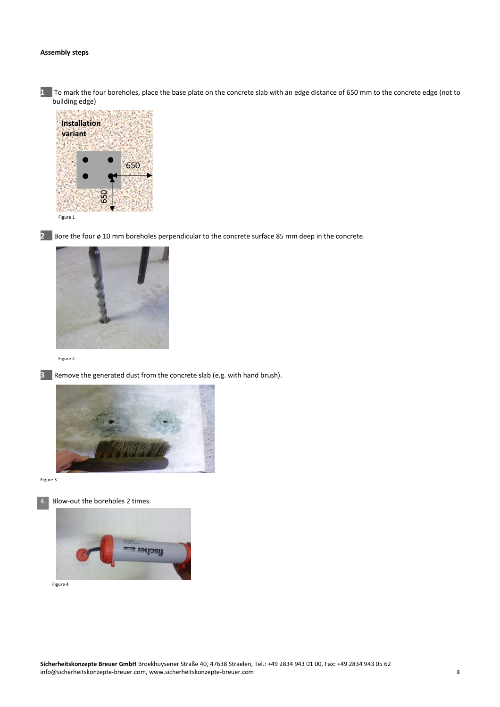## **Assembly steps**

**1** To mark the four boreholes, place the base plate on the concrete slab with an edge distance of 650 mm to the concrete edge (not to -<br>building edge)



**2** Bore the four ø 10 mm boreholes perpendicular to the concrete surface 85 mm deep in the concrete.



Figure 2



**3** Remove the generated dust from the concrete slab (e.g. with hand brush).



Figure 3



4. Blow-out the boreholes 2 times.



Figure 4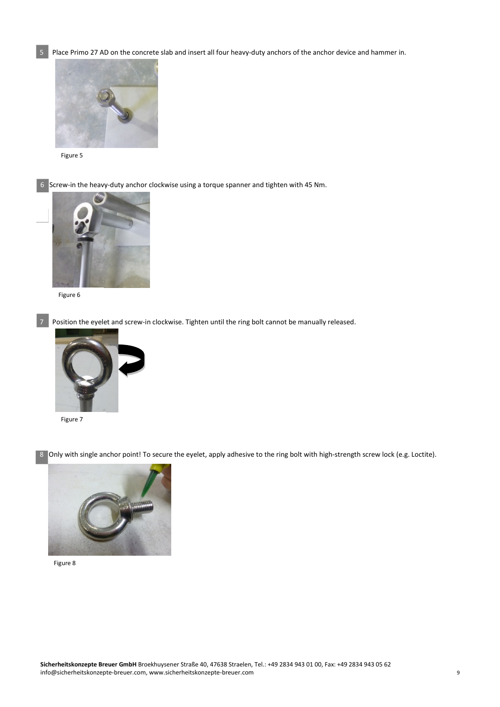5 Place Primo 27 AD on the concrete slab and insert all four heavy-duty anchors of the anchor device and hammer in.



Figure 5

6Screw-in the heavy-duty anchor clockwise using a torque spanner and tighten with 45 Nm.



Figure 6

Position the eyelet and screw-in clockwise. Tighten until the ring bolt cannot be manually released.



Figure 7

8 Only with single anchor point! To secure the eyelet, apply adhesive to the ring bolt with high-strength screw lock (e.g. Loctite).



Figure 8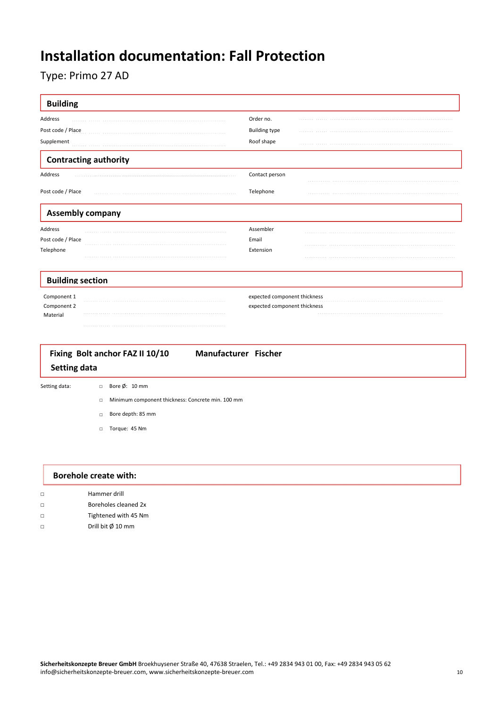# **Installation documentation: Fall Protection**

## Type: Primo 27 AD

| Order no.                    |  |
|------------------------------|--|
|                              |  |
| <b>Building type</b>         |  |
| Roof shape                   |  |
|                              |  |
| Contact person               |  |
| Telephone                    |  |
|                              |  |
| Assembler                    |  |
| Email                        |  |
| Extension                    |  |
|                              |  |
| expected component thickness |  |
| expected component thickness |  |
|                              |  |
| Manufacturer Fischer         |  |
|                              |  |

- □ Minimum component thickness: Concrete min. 100 mm
- □ Bore depth: 85 mm
- □ Torque: 45 Nm

|        | Borehole create with:       |  |  |
|--------|-----------------------------|--|--|
| $\Box$ | Hammer drill                |  |  |
| $\Box$ | Boreholes cleaned 2x        |  |  |
| $\Box$ | Tightened with 45 Nm        |  |  |
| $\Box$ | Drill bit $\emptyset$ 10 mm |  |  |
|        |                             |  |  |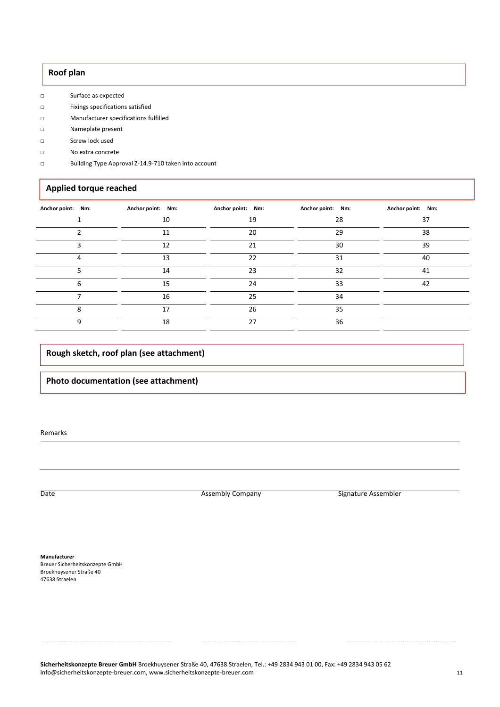## **Roof plan**

- □ Surface as expected
- □ Fixings specifications satisfied
- □ Manufacturer specifications fulfilled
- □ Nameplate present
- □ Screw lock used
- □ No extra concrete
- □ Building Type Approval Z-14.9-710 taken into account

## **Applied torque reached**

| Anchor point: Nm: | Anchor point: Nm: | Anchor point: Nm: | Anchor point: Nm: | Anchor point: Nm: |
|-------------------|-------------------|-------------------|-------------------|-------------------|
|                   | 10                | 19                | 28                | 37                |
|                   | 11                | 20                | 29                | 38                |
|                   | 12                | 21                | 30                | 39                |
| 4                 | 13                | 22                | 31                | 40                |
|                   | 14                | 23                | 32                | 41                |
| 6                 | 15                | 24                | 33                | 42                |
|                   | 16                | 25                | 34                |                   |
| 8                 | 17                | 26                | 35                |                   |
| q                 | 18                | 27                | 36                |                   |

## **Rough sketch, roof plan (see attachment)**

## **Photo documentation (see attachment)**

Remarks

Date **Assembly Company** Company **Company** Signature Assembler

**Manufacturer**  Breuer Sicherheitskonzepte GmbH Broekhuysener Straße 40 47638 Straelen